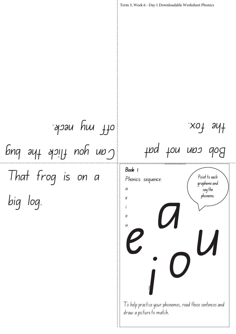That frog is on a big log. %%% %% %% #% Term 3, Week 6 - Day 1 Downloadable Worksheet Phonics Book 1 Phonics sequence: a e i o u u o a e pat Bob can not the fox. Can you flick the bug . off my neck

I o help practise your phonemes, read these sentences and draw a picture to match. **i**<br>tise you<br>ire to r

p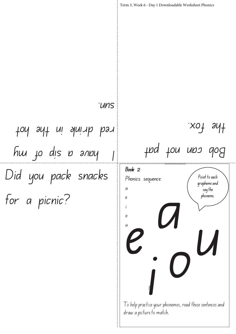Did you pack snacks for a picnic? %%% %% %% #% Term 3, Week 6 - Day 1 Downloadable Worksheet Phonics Book 2 Phonics sequence: a e i o u o a e pat Bob can not the fox. my of sip have a I red drink in the hot sun.

I o help practise your phonemes, read these sentences and draw a picture to match. **i**<br>tise you<br>ire to r

p

u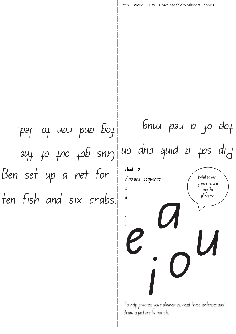Ben set up a net for ten fish and six crabs. I o help practise your phonemes, read these sentences and draw a picture to match. Point to each grapheme and say the phoneme. Term 3, Week 6 - Day 1 Downloadable Worksheet Phonics Book 2 Phonics sequence: a e i o u u p o a **i**<br>tise you<br>ire to r e<br>C ayt to two top eury no que a haid a the qid top of a red mug. par of non bone